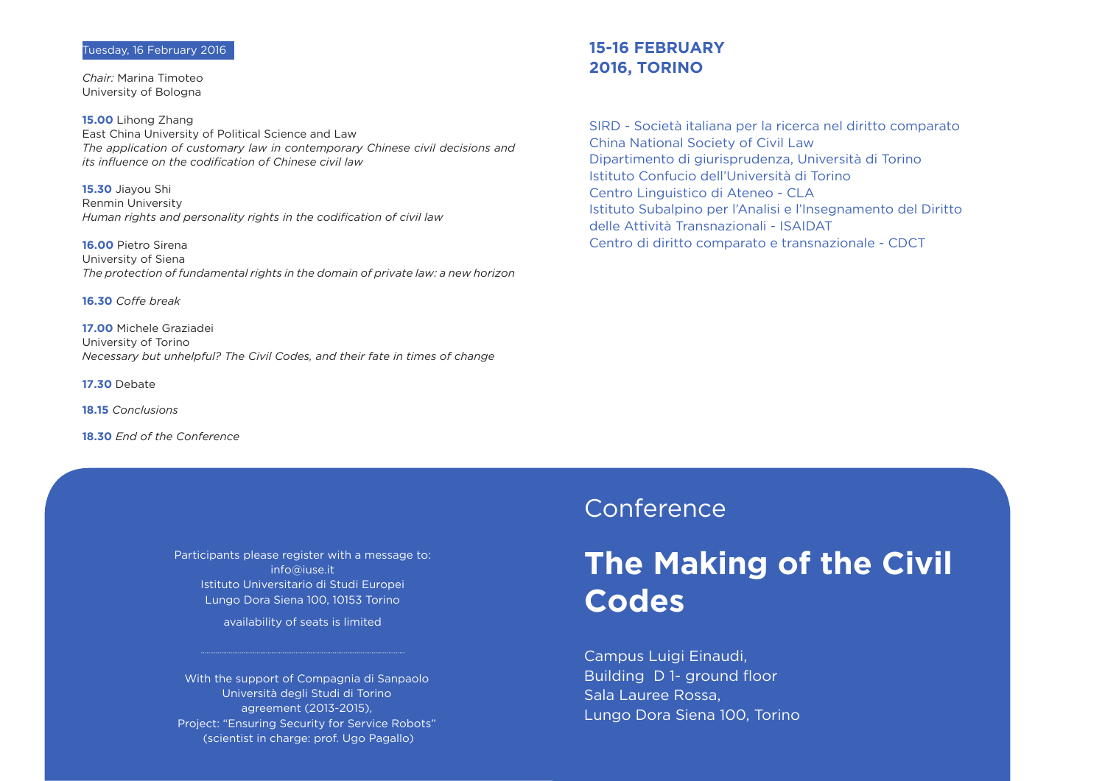SIRD - Società italiana per la ricerca nel diritto comparato China National Society of Civil Law Dipartimento di giurisprudenza, Università di Torino Istituto Confucio dell'Università di Torino Centro Linguistico di Ateneo - CLA Istituto Subalpino per l'Analisi e l'Insegnamento del Diritto delle Attività Transnazionali - ISAIDAT Centro di diritto comparato e transnazionale - CDCT

### **15-16 FEBRUARY 2016, TORINO**

Campus Luigi Einaudi, Building D 1- ground floor Sala Lauree Rossa, Lungo Dora Siena 100, Torino

# **The Making of the Civil Codes**

## Conference

Participants please register with a message to: info@iuse.it Istituto Universitario di Studi Europei Lungo Dora Siena 100, 10153 Torino

availability of seats is limited

*Chair:* Marina Timoteo University of Bologna

**15.00** Lihong Zhang East China University of Political Science and Law *The application of customary law in contemporary Chinese civil decisions and its influence on the codification of Chinese civil law*

**15.30** Jiayou Shi Renmin University *Human rights and personality rights in the codification of civil law*

**16.00** Pietro Sirena University of Siena *The protection of fundamental rights in the domain of private law: a new horizon*

**16.30** *Coffe break* 

**17.00** Michele Graziadei University of Torino *Necessary but unhelpful? The Civil Codes, and their fate in times of change*

**17.30** Debate

**18.15** *Conclusions*

**18.30** *End of the Conference*

With the support of Compagnia di Sanpaolo Università degli Studi di Torino agreement (2013-2015), Project: "Ensuring Security for Service Robots" (scientist in charge: prof. Ugo Pagallo)